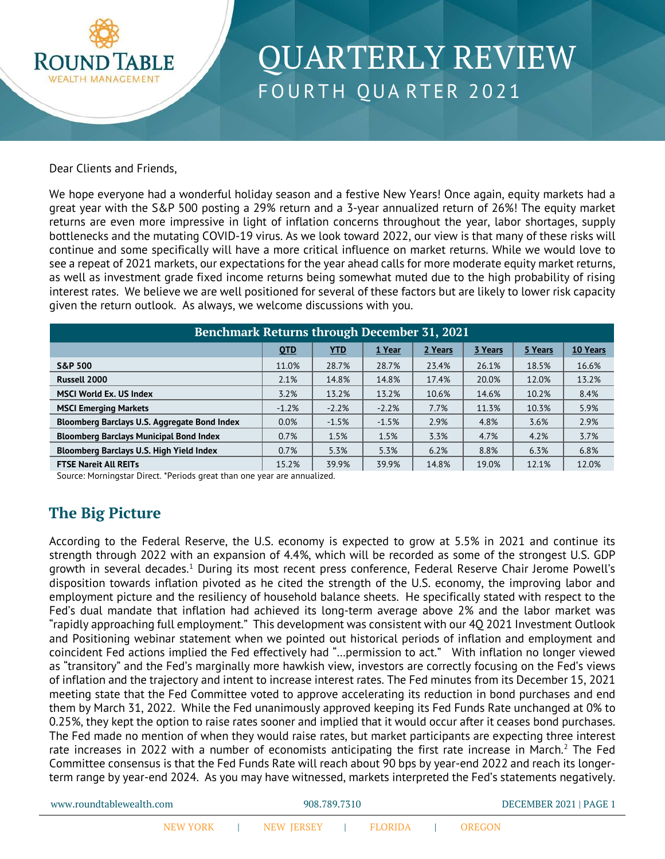

# QUARTERLY REVIEW FOURTH QUARTER 2021

#### Dear Clients and Friends,

We hope everyone had a wonderful holiday season and a festive New Years! Once again, equity markets had a great year with the S&P 500 posting a 29% return and a 3-year annualized return of 26%! The equity market returns are even more impressive in light of inflation concerns throughout the year, labor shortages, supply bottlenecks and the mutating COVID-19 virus. As we look toward 2022, our view is that many of these risks will continue and some specifically will have a more critical influence on market returns. While we would love to see a repeat of 2021 markets, our expectations for the year ahead calls for more moderate equity market returns, as well as investment grade fixed income returns being somewhat muted due to the high probability of rising interest rates. We believe we are well positioned for several of these factors but are likely to lower risk capacity given the return outlook. As always, we welcome discussions with you.

| <b>Benchmark Returns through December 31, 2021</b> |            |            |         |         |         |         |          |  |  |
|----------------------------------------------------|------------|------------|---------|---------|---------|---------|----------|--|--|
|                                                    | <b>OTD</b> | <b>YTD</b> | 1 Year  | 2 Years | 3 Years | 5 Years | 10 Years |  |  |
| <b>S&amp;P 500</b>                                 | 11.0%      | 28.7%      | 28.7%   | 23.4%   | 26.1%   | 18.5%   | 16.6%    |  |  |
| Russell 2000                                       | 2.1%       | 14.8%      | 14.8%   | 17.4%   | 20.0%   | 12.0%   | 13.2%    |  |  |
| <b>MSCI World Ex. US Index</b>                     | 3.2%       | 13.2%      | 13.2%   | 10.6%   | 14.6%   | 10.2%   | 8.4%     |  |  |
| <b>MSCI Emerging Markets</b>                       | $-1.2%$    | $-2.2%$    | $-2.2%$ | 7.7%    | 11.3%   | 10.3%   | 5.9%     |  |  |
| Bloomberg Barclays U.S. Aggregate Bond Index       | 0.0%       | $-1.5%$    | $-1.5%$ | 2.9%    | 4.8%    | 3.6%    | 2.9%     |  |  |
| <b>Bloomberg Barclays Municipal Bond Index</b>     | 0.7%       | 1.5%       | 1.5%    | 3.3%    | 4.7%    | 4.2%    | 3.7%     |  |  |
| Bloomberg Barclays U.S. High Yield Index           | 0.7%       | 5.3%       | 5.3%    | 6.2%    | 8.8%    | 6.3%    | 6.8%     |  |  |
| <b>FTSE Nareit All REITs</b>                       | 15.2%      | 39.9%      | 39.9%   | 14.8%   | 19.0%   | 12.1%   | 12.0%    |  |  |

Source: Morningstar Direct. \*Periods great than one year are annualized.

### **The Big Picture**

According to the Federal Reserve, the U.S. economy is expected to grow at 5.5% in 2021 and continue its strength through 2022 with an expansion of 4.4%, which will be recorded as some of the strongest U.S. GDP growth in several decades.<sup>1</sup> During its most recent press conference, Federal Reserve Chair Jerome Powell's disposition towards inflation pivoted as he cited the strength of the U.S. economy, the improving labor and employment picture and the resiliency of household balance sheets. He specifically stated with respect to the Fed's dual mandate that inflation had achieved its long-term average above 2% and the labor market was "rapidly approaching full employment." This development was consistent with our 4Q 2021 Investment Outlook and Positioning webinar statement when we pointed out historical periods of inflation and employment and coincident Fed actions implied the Fed effectively had "…permission to act." With inflation no longer viewed as "transitory" and the Fed's marginally more hawkish view, investors are correctly focusing on the Fed's views of inflation and the trajectory and intent to increase interest rates. The Fed minutes from its December 15, 2021 meeting state that the Fed Committee voted to approve accelerating its reduction in bond purchases and end them by March 31, 2022. While the Fed unanimously approved keeping its Fed Funds Rate unchanged at 0% to 0.25%, they kept the option to raise rates sooner and implied that it would occur after it ceases bond purchases. The Fed made no mention of when they would raise rates, but market participants are expecting three interest rate increases in 2022 with a number of economists anticipating the first rate increase in March.<sup>2</sup> The Fed Committee consensus is that the Fed Funds Rate will reach about 90 bps by year-end 2022 and reach its longerterm range by year-end 2024. As you may have witnessed, markets interpreted the Fed's statements negatively.

| www.roundtablewealth.com |  |  | 908.789.7310                    |  |  | DECEMBER 2021   PAGE 1 |               |  |
|--------------------------|--|--|---------------------------------|--|--|------------------------|---------------|--|
|                          |  |  | NEW YORK I NEW JERSEY I FLORIDA |  |  |                        | <b>OREGON</b> |  |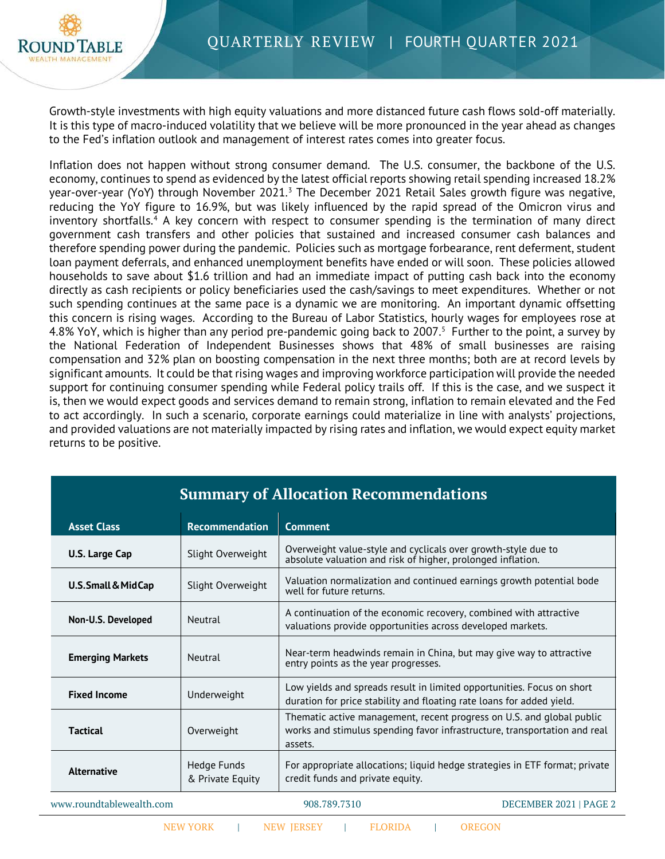

Growth-style investments with high equity valuations and more distanced future cash flows sold-off materially. It is this type of macro-induced volatility that we believe will be more pronounced in the year ahead as changes to the Fed's inflation outlook and management of interest rates comes into greater focus.

Inflation does not happen without strong consumer demand. The U.S. consumer, the backbone of the U.S. economy, continues to spend as evidenced by the latest official reports showing retail spending increased 18.2% year-over-year (YoY) through November 2021.<sup>[3](#page-4-2)</sup> The December 2021 Retail Sales growth figure was negative, reducing the YoY figure to 16.9%, but was likely influenced by the rapid spread of the Omicron virus and inventory shortfalls.<sup>[4](#page-4-3)</sup> A key concern with respect to consumer spending is the termination of many direct government cash transfers and other policies that sustained and increased consumer cash balances and therefore spending power during the pandemic. Policies such as mortgage forbearance, rent deferment, student loan payment deferrals, and enhanced unemployment benefits have ended or will soon. These policies allowed households to save about \$1.6 trillion and had an immediate impact of putting cash back into the economy directly as cash recipients or policy beneficiaries used the cash/savings to meet expenditures. Whether or not such spending continues at the same pace is a dynamic we are monitoring. An important dynamic offsetting this concern is rising wages. According to the Bureau of Labor Statistics, hourly wages for employees rose at 4.8% YoY, which is higher than any period pre-pandemic going back to 2007.<sup>[5](#page-4-4)</sup> Further to the point, a survey by the National Federation of Independent Businesses shows that 48% of small businesses are raising compensation and 32% plan on boosting compensation in the next three months; both are at record levels by significant amounts. It could be that rising wages and improving workforce participation will provide the needed support for continuing consumer spending while Federal policy trails off. If this is the case, and we suspect it is, then we would expect goods and services demand to remain strong, inflation to remain elevated and the Fed to act accordingly. In such a scenario, corporate earnings could materialize in line with analysts' projections, and provided valuations are not materially impacted by rising rates and inflation, we would expect equity market returns to be positive.

| <b>Summary of Allocation Recommendations</b> |                                 |                                                                                                                                                               |  |  |  |  |
|----------------------------------------------|---------------------------------|---------------------------------------------------------------------------------------------------------------------------------------------------------------|--|--|--|--|
| <b>Asset Class</b>                           | <b>Recommendation</b>           | <b>Comment</b>                                                                                                                                                |  |  |  |  |
| U.S. Large Cap                               | Slight Overweight               | Overweight value-style and cyclicals over growth-style due to<br>absolute valuation and risk of higher, prolonged inflation.                                  |  |  |  |  |
| U.S. Small & MidCap                          | Slight Overweight               | Valuation normalization and continued earnings growth potential bode<br>well for future returns.                                                              |  |  |  |  |
| Non-U.S. Developed                           | Neutral                         | A continuation of the economic recovery, combined with attractive<br>valuations provide opportunities across developed markets.                               |  |  |  |  |
| <b>Emerging Markets</b>                      | Neutral                         | Near-term headwinds remain in China, but may give way to attractive<br>entry points as the year progresses.                                                   |  |  |  |  |
| <b>Fixed Income</b>                          | Underweight                     | Low yields and spreads result in limited opportunities. Focus on short<br>duration for price stability and floating rate loans for added yield.               |  |  |  |  |
| <b>Tactical</b>                              | Overweight                      | Thematic active management, recent progress on U.S. and global public<br>works and stimulus spending favor infrastructure, transportation and real<br>assets. |  |  |  |  |
| <b>Alternative</b>                           | Hedge Funds<br>& Private Equity | For appropriate allocations; liquid hedge strategies in ETF format; private<br>credit funds and private equity.                                               |  |  |  |  |
| www.roundtablewealth.com                     |                                 | DECEMBER 2021   PAGE 2<br>908.789.7310                                                                                                                        |  |  |  |  |

| NEW JERSEY | FLORIDA | OREGON

NEW YORK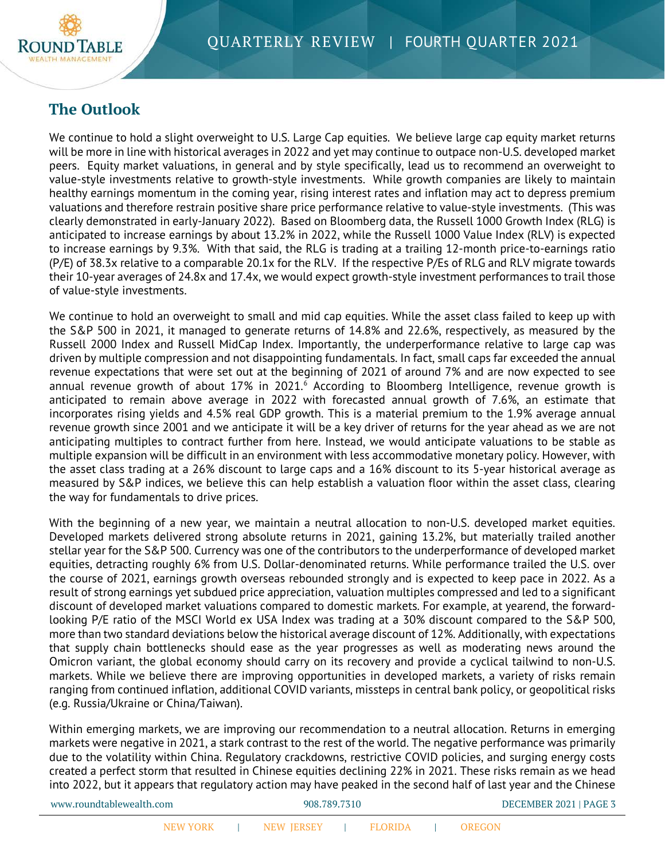

# **The Outlook**

We continue to hold a slight overweight to U.S. Large Cap equities. We believe large cap equity market returns will be more in line with historical averages in 2022 and yet may continue to outpace non-U.S. developed market peers. Equity market valuations, in general and by style specifically, lead us to recommend an overweight to value-style investments relative to growth-style investments. While growth companies are likely to maintain healthy earnings momentum in the coming year, rising interest rates and inflation may act to depress premium valuations and therefore restrain positive share price performance relative to value-style investments. (This was clearly demonstrated in early-January 2022). Based on Bloomberg data, the Russell 1000 Growth Index (RLG) is anticipated to increase earnings by about 13.2% in 2022, while the Russell 1000 Value Index (RLV) is expected to increase earnings by 9.3%. With that said, the RLG is trading at a trailing 12-month price-to-earnings ratio (P/E) of 38.3x relative to a comparable 20.1x for the RLV. If the respective P/Es of RLG and RLV migrate towards their 10-year averages of 24.8x and 17.4x, we would expect growth-style investment performances to trail those of value-style investments.

We continue to hold an overweight to small and mid cap equities. While the asset class failed to keep up with the S&P 500 in 2021, it managed to generate returns of 14.8% and 22.6%, respectively, as measured by the Russell 2000 Index and Russell MidCap Index. Importantly, the underperformance relative to large cap was driven by multiple compression and not disappointing fundamentals. In fact, small caps far exceeded the annual revenue expectations that were set out at the beginning of 2021 of around 7% and are now expected to see annual revenue growth of about 17% in 2021.<sup>[6](#page-4-5)</sup> According to Bloomberg Intelligence, revenue growth is anticipated to remain above average in 2022 with forecasted annual growth of 7.6%, an estimate that incorporates rising yields and 4.5% real GDP growth. This is a material premium to the 1.9% average annual revenue growth since 2001 and we anticipate it will be a key driver of returns for the year ahead as we are not anticipating multiples to contract further from here. Instead, we would anticipate valuations to be stable as multiple expansion will be difficult in an environment with less accommodative monetary policy. However, with the asset class trading at a 26% discount to large caps and a 16% discount to its 5-year historical average as measured by S&P indices, we believe this can help establish a valuation floor within the asset class, clearing the way for fundamentals to drive prices.

With the beginning of a new year, we maintain a neutral allocation to non-U.S. developed market equities. Developed markets delivered strong absolute returns in 2021, gaining 13.2%, but materially trailed another stellar year for the S&P 500. Currency was one of the contributors to the underperformance of developed market equities, detracting roughly 6% from U.S. Dollar-denominated returns. While performance trailed the U.S. over the course of 2021, earnings growth overseas rebounded strongly and is expected to keep pace in 2022. As a result of strong earnings yet subdued price appreciation, valuation multiples compressed and led to a significant discount of developed market valuations compared to domestic markets. For example, at yearend, the forwardlooking P/E ratio of the MSCI World ex USA Index was trading at a 30% discount compared to the S&P 500, more than two standard deviations below the historical average discount of 12%. Additionally, with expectations that supply chain bottlenecks should ease as the year progresses as well as moderating news around the Omicron variant, the global economy should carry on its recovery and provide a cyclical tailwind to non-U.S. markets. While we believe there are improving opportunities in developed markets, a variety of risks remain ranging from continued inflation, additional COVID variants, missteps in central bank policy, or geopolitical risks (e.g. Russia/Ukraine or China/Taiwan).

Within emerging markets, we are improving our recommendation to a neutral allocation. Returns in emerging markets were negative in 2021, a stark contrast to the rest of the world. The negative performance was primarily due to the volatility within China. Regulatory crackdowns, restrictive COVID policies, and surging energy costs created a perfect storm that resulted in Chinese equities declining 22% in 2021. These risks remain as we head into 2022, but it appears that regulatory action may have peaked in the second half of last year and the Chinese

| www.roundtablewealth.com |                 |  |            | 908.789.7310 |                |  | DECEMBER 2021   PAGE 3 |  |
|--------------------------|-----------------|--|------------|--------------|----------------|--|------------------------|--|
|                          | <b>NEW YORK</b> |  | NEW JERSEY |              | <b>FLORIDA</b> |  |                        |  |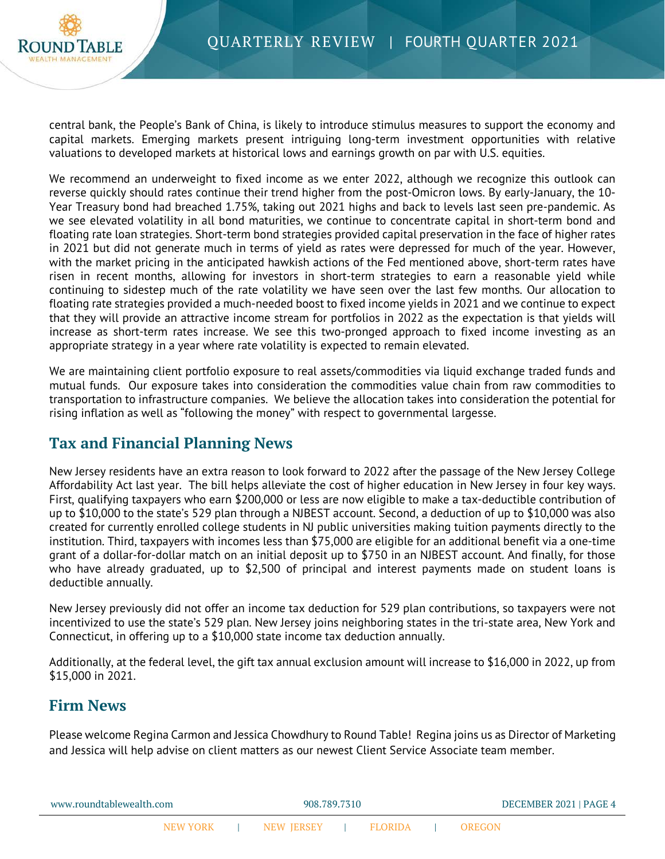

central bank, the People's Bank of China, is likely to introduce stimulus measures to support the economy and capital markets. Emerging markets present intriguing long-term investment opportunities with relative valuations to developed markets at historical lows and earnings growth on par with U.S. equities.

We recommend an underweight to fixed income as we enter 2022, although we recognize this outlook can reverse quickly should rates continue their trend higher from the post-Omicron lows. By early-January, the 10- Year Treasury bond had breached 1.75%, taking out 2021 highs and back to levels last seen pre-pandemic. As we see elevated volatility in all bond maturities, we continue to concentrate capital in short-term bond and floating rate loan strategies. Short-term bond strategies provided capital preservation in the face of higher rates in 2021 but did not generate much in terms of yield as rates were depressed for much of the year. However, with the market pricing in the anticipated hawkish actions of the Fed mentioned above, short-term rates have risen in recent months, allowing for investors in short-term strategies to earn a reasonable yield while continuing to sidestep much of the rate volatility we have seen over the last few months. Our allocation to floating rate strategies provided a much-needed boost to fixed income yields in 2021 and we continue to expect that they will provide an attractive income stream for portfolios in 2022 as the expectation is that yields will increase as short-term rates increase. We see this two-pronged approach to fixed income investing as an appropriate strategy in a year where rate volatility is expected to remain elevated.

We are maintaining client portfolio exposure to real assets/commodities via liquid exchange traded funds and mutual funds. Our exposure takes into consideration the commodities value chain from raw commodities to transportation to infrastructure companies. We believe the allocation takes into consideration the potential for rising inflation as well as "following the money" with respect to governmental largesse.

### **Tax and Financial Planning News**

New Jersey residents have an extra reason to look forward to 2022 after the passage of the New Jersey College Affordability Act last year. The bill helps alleviate the cost of higher education in New Jersey in four key ways. First, qualifying taxpayers who earn \$200,000 or less are now eligible to make a tax-deductible contribution of up to \$10,000 to the state's 529 plan through a NJBEST account. Second, a deduction of up to \$10,000 was also created for currently enrolled college students in NJ public universities making tuition payments directly to the institution. Third, taxpayers with incomes less than \$75,000 are eligible for an additional benefit via a one-time grant of a dollar-for-dollar match on an initial deposit up to \$750 in an NJBEST account. And finally, for those who have already graduated, up to \$2,500 of principal and interest payments made on student loans is deductible annually.

New Jersey previously did not offer an income tax deduction for 529 plan contributions, so taxpayers were not incentivized to use the state's 529 plan. New Jersey joins neighboring states in the tri-state area, New York and Connecticut, in offering up to a \$10,000 state income tax deduction annually.

Additionally, at the federal level, the gift tax annual exclusion amount will increase to \$16,000 in 2022, up from \$15,000 in 2021.

# **Firm News**

Please welcome Regina Carmon and Jessica Chowdhury to Round Table! Regina joins us as Director of Marketing and Jessica will help advise on client matters as our newest Client Service Associate team member.

| www.roundtablewealth.com |          |  |                   | 908.789.7310 |                |  |        | DECEMBER 2021   PAGE 4 |
|--------------------------|----------|--|-------------------|--------------|----------------|--|--------|------------------------|
|                          | NEW YORK |  | <b>NEW JERSEY</b> |              | <b>FLORIDA</b> |  | OREGON |                        |